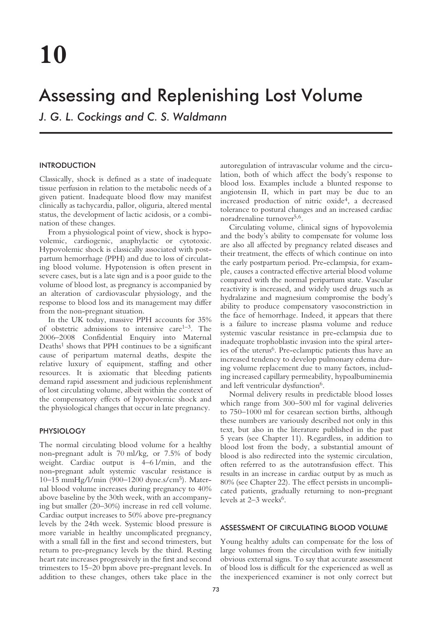# Assessing and Replenishing Lost Volume

*J. G. L. Cockings and C. S. Waldmann*

### **INTRODUCTION**

Classically, shock is defined as a state of inadequate tissue perfusion in relation to the metabolic needs of a given patient. Inadequate blood flow may manifest clinically as tachycardia, pallor, oliguria, altered mental status, the development of lactic acidosis, or a combination of these changes.

From a physiological point of view, shock is hypovolemic, cardiogenic, anaphylactic or cytotoxic. Hypovolemic shock is classically associated with postpartum hemorrhage (PPH) and due to loss of circulating blood volume. Hypotension is often present in severe cases, but is a late sign and is a poor guide to the volume of blood lost, as pregnancy is accompanied by an alteration of cardiovascular physiology, and the response to blood loss and its management may differ from the non-pregnant situation.

In the UK today, massive PPH accounts for 35% of obstetric admissions to intensive care $1-3$ . The 2006–2008 Confidential Enquiry into Maternal Deaths<sup>1</sup> shows that PPH continues to be a significant cause of peripartum maternal deaths, despite the relative luxury of equipment, staffing and other resources. It is axiomatic that bleeding patients demand rapid assessment and judicious replenishment of lost circulating volume, albeit within the context of the compensatory effects of hypovolemic shock and the physiological changes that occur in late pregnancy.

#### **PHYSIOLOGY**

The normal circulating blood volume for a healthy non-pregnant adult is 70 ml/kg, or 7.5% of body weight. Cardiac output is 4–6 l/min, and the non-pregnant adult systemic vascular resistance is 10–15 mmHg/l/min (900–1200 dyne.s/cm5). Maternal blood volume increases during pregnancy to 40% above baseline by the 30th week, with an accompanying but smaller (20–30%) increase in red cell volume. Cardiac output increases to 50% above pre-pregnancy levels by the 24th week. Systemic blood pressure is more variable in healthy uncomplicated pregnancy, with a small fall in the first and second trimesters, but return to pre-pregnancy levels by the third. Resting heart rate increases progressively in the first and second trimesters to 15–20 bpm above pre-pregnant levels. In addition to these changes, others take place in the

autoregulation of intravascular volume and the circulation, both of which affect the body's response to blood loss. Examples include a blunted response to angiotensin II, which in part may be due to an increased production of nitric oxide4, a decreased tolerance to postural changes and an increased cardiac noradrenaline turnover5,6.

Circulating volume, clinical signs of hypovolemia and the body's ability to compensate for volume loss are also all affected by pregnancy related diseases and their treatment, the effects of which continue on into the early postpartum period. Pre-eclampsia, for example, causes a contracted effective arterial blood volume compared with the normal peripartum state. Vascular reactivity is increased, and widely used drugs such as hydralazine and magnesium compromise the body's ability to produce compensatory vasoconstriction in the face of hemorrhage. Indeed, it appears that there is a failure to increase plasma volume and reduce systemic vascular resistance in pre-eclampsia due to inadequate trophoblastic invasion into the spiral arteries of the uterus<sup>6</sup>. Pre-eclamptic patients thus have an increased tendency to develop pulmonary edema during volume replacement due to many factors, including increased capillary permeability, hypoalbuminemia and left ventricular dysfunction<sup>6</sup>.

Normal delivery results in predictable blood losses which range from 300–500 ml for vaginal deliveries to 750–1000 ml for cesarean section births, although these numbers are variously described not only in this text, but also in the literature published in the past 5 years (see Chapter 11). Regardless, in addition to blood lost from the body, a substantial amount of blood is also redirected into the systemic circulation, often referred to as the autotransfusion effect. This results in an increase in cardiac output by as much as 80% (see Chapter 22). The effect persists in uncomplicated patients, gradually returning to non-pregnant levels at  $2-3$  weeks<sup>6</sup>.

## ASSESSMENT OF CIRCULATING BLOOD VOLUME

Young healthy adults can compensate for the loss of large volumes from the circulation with few initially obvious external signs. To say that accurate assessment of blood loss is difficult for the experienced as well as the inexperienced examiner is not only correct but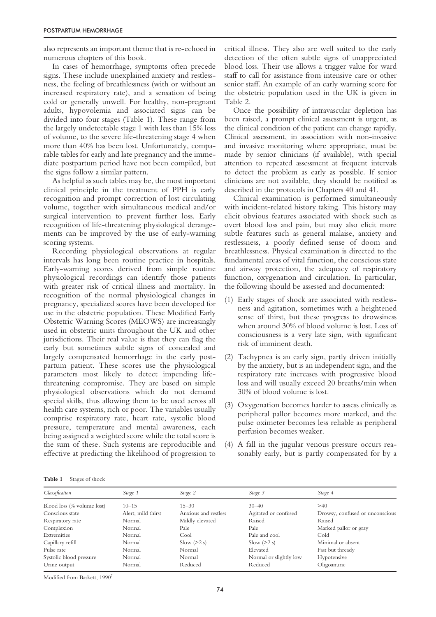also represents an important theme that is re-echoed in numerous chapters of this book.

In cases of hemorrhage, symptoms often precede signs. These include unexplained anxiety and restlessness, the feeling of breathlessness (with or without an increased respiratory rate), and a sensation of being cold or generally unwell. For healthy, non-pregnant adults, hypovolemia and associated signs can be divided into four stages (Table 1). These range from the largely undetectable stage 1 with less than 15% loss of volume, to the severe life-threatening stage 4 when more than 40% has been lost. Unfortunately, comparable tables for early and late pregnancy and the immediate postpartum period have not been compiled, but the signs follow a similar pattern.

As helpful as such tables may be, the most important clinical principle in the treatment of PPH is early recognition and prompt correction of lost circulating volume, together with simultaneous medical and/or surgical intervention to prevent further loss. Early recognition of life-threatening physiological derangements can be improved by the use of early-warning scoring systems.

Recording physiological observations at regular intervals has long been routine practice in hospitals. Early-warning scores derived from simple routine physiological recordings can identify those patients with greater risk of critical illness and mortality. In recognition of the normal physiological changes in pregnancy, specialized scores have been developed for use in the obstetric population. These Modified Early Obstetric Warning Scores (MEOWS) are increasingly used in obstetric units throughout the UK and other jurisdictions. Their real value is that they can flag the early but sometimes subtle signs of concealed and largely compensated hemorrhage in the early postpartum patient. These scores use the physiological parameters most likely to detect impending lifethreatening compromise. They are based on simple physiological observations which do not demand special skills, thus allowing them to be used across all health care systems, rich or poor. The variables usually comprise respiratory rate, heart rate, systolic blood pressure, temperature and mental awareness, each being assigned a weighted score while the total score is the sum of these. Such systems are reproducible and effective at predicting the likelihood of progression to

critical illness. They also are well suited to the early detection of the often subtle signs of unappreciated blood loss. Their use allows a trigger value for ward staff to call for assistance from intensive care or other senior staff. An example of an early warning score for the obstetric population used in the UK is given in Table 2.

Once the possibility of intravascular depletion has been raised, a prompt clinical assessment is urgent, as the clinical condition of the patient can change rapidly. Clinical assessment, in association with non-invasive and invasive monitoring where appropriate, must be made by senior clinicians (if available), with special attention to repeated assessment at frequent intervals to detect the problem as early as possible. If senior clinicians are not available, they should be notified as described in the protocols in Chapters 40 and 41.

Clinical examination is performed simultaneously with incident-related history taking. This history may elicit obvious features associated with shock such as overt blood loss and pain, but may also elicit more subtle features such as general malaise, anxiety and restlessness, a poorly defined sense of doom and breathlessness. Physical examination is directed to the fundamental areas of vital function, the conscious state and airway protection, the adequacy of respiratory function, oxygenation and circulation. In particular, the following should be assessed and documented:

- (1) Early stages of shock are associated with restlessness and agitation, sometimes with a heightened sense of thirst, but these progress to drowsiness when around 30% of blood volume is lost. Loss of consciousness is a very late sign, with significant risk of imminent death.
- (2) Tachypnea is an early sign, partly driven initially by the anxiety, but is an independent sign, and the respiratory rate increases with progressive blood loss and will usually exceed 20 breaths/min when 30% of blood volume is lost.
- (3) Oxygenation becomes harder to assess clinically as peripheral pallor becomes more marked, and the pulse oximeter becomes less reliable as peripheral perfusion becomes weaker.
- (4) A fall in the jugular venous pressure occurs reasonably early, but is partly compensated for by a

| Table 1 |  | Stages of shock |
|---------|--|-----------------|
|---------|--|-----------------|

| Classification             | Stage 1            | Stage 2              | Stage 3                | Stage 4                         |
|----------------------------|--------------------|----------------------|------------------------|---------------------------------|
| Blood loss (% volume lost) | $10 - 15$          | $15 - 30$            | $30 - 40$              | >40                             |
| Conscious state            | Alert, mild thirst | Anxious and restless | Agitated or confused   | Drowsy, confused or unconscious |
| Respiratory rate           | Normal             | Mildly elevated      | Raised                 | Raised                          |
| Complexion                 | Normal             | Pale                 | Pale                   | Marked pallor or gray           |
| Extremities                | Normal             | Cool                 | Pale and cool          | Cold                            |
| Capillary refill           | Normal             | Slow (>2 s)          | Slow (>2 s)            | Minimal or absent               |
| Pulse rate                 | Normal             | Normal               | Elevated               | Fast but thready                |
| Systolic blood pressure    | Normal             | Normal               | Normal or slightly low | Hypotensive                     |
| Urine output               | Normal             | Reduced              | Reduced                | Oligoanuric                     |

Modified from Baskett, 19907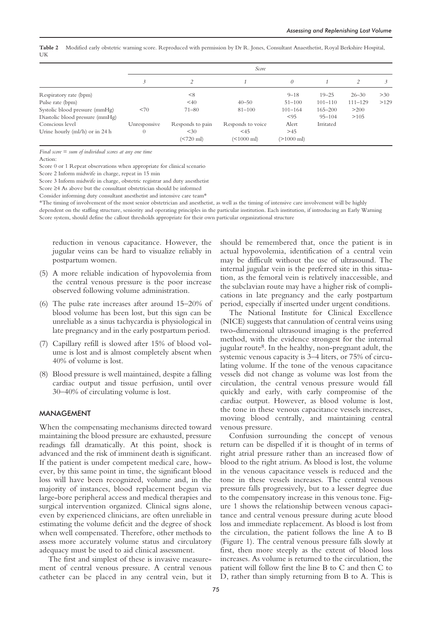**Table 2** Modified early obstetric warning score. Reproduced with permission by Dr R. Jones, Consultant Anaesthetist, Royal Berkshire Hospital, I IK

|                                 |              | Score                        |                             |                             |             |             |      |
|---------------------------------|--------------|------------------------------|-----------------------------|-----------------------------|-------------|-------------|------|
|                                 |              | 2                            |                             | $\theta$                    |             | 2           |      |
| Respiratory rate (bpm)          |              | < 8                          |                             | $9 - 18$                    | $19 - 25$   | $26 - 30$   | >30  |
| Pulse rate (bpm)                |              | $<$ 40                       | $40 - 50$                   | $51 - 100$                  | $101 - 110$ | $111 - 129$ | >129 |
| Systolic blood pressure (mmHg)  | <70          | $71 - 80$                    | $81 - 100$                  | $101 - 164$                 | $165 - 200$ | >200        |      |
| Diastolic blood pressure (mmHg) |              |                              |                             | < 95                        | $95 - 104$  | >105        |      |
| Conscious level                 | Unresponsive | Responds to pain             | Responds to voice           | Alert                       | Irritated   |             |      |
| Urine hourly (ml/h) or in 24 h  | $\Omega$     | $30$<br>$(< 720 \text{ ml})$ | $<$ 45<br>$($ < 1000 ml $)$ | >45<br>$(>1000 \text{ ml})$ |             |             |      |

*Final score = sum of individual scores at any one time*

Action:

Score 0 or 1 Repeat observations when appropriate for clinical scenario

Score 2 Inform midwife in charge, repeat in 15 min

Score 3 Inform midwife in charge, obstetric registrar and duty anesthetist

Score ≥4 As above but the consultant obstetrician should be informed

Consider informing duty consultant anesthetist and intensive care team\*

\*The timing of involvement of the most senior obstetrician and anesthetist, as well as the timing of intensive care involvement will be highly dependent on the staffing structure, seniority and operating principles in the particular institution. Each institution, if introducing an Early Warning Score system, should define the callout thresholds appropriate for their own particular organizational structure

reduction in venous capacitance. However, the jugular veins can be hard to visualize reliably in postpartum women.

- (5) A more reliable indication of hypovolemia from the central venous pressure is the poor increase observed following volume administration.
- (6) The pulse rate increases after around 15–20% of blood volume has been lost, but this sign can be unreliable as a sinus tachycardia is physiological in late pregnancy and in the early postpartum period.
- (7) Capillary refill is slowed after 15% of blood volume is lost and is almost completely absent when 40% of volume is lost.
- (8) Blood pressure is well maintained, despite a falling cardiac output and tissue perfusion, until over 30–40% of circulating volume is lost.

### MANAGEMENT

When the compensating mechanisms directed toward maintaining the blood pressure are exhausted, pressure readings fall dramatically. At this point, shock is advanced and the risk of imminent death is significant. If the patient is under competent medical care, however, by this same point in time, the significant blood loss will have been recognized, volume and, in the majority of instances, blood replacement begun via large-bore peripheral access and medical therapies and surgical intervention organized. Clinical signs alone, even by experienced clinicians, are often unreliable in estimating the volume deficit and the degree of shock when well compensated. Therefore, other methods to assess more accurately volume status and circulatory adequacy must be used to aid clinical assessment.

The first and simplest of these is invasive measurement of central venous pressure. A central venous catheter can be placed in any central vein, but it should be remembered that, once the patient is in actual hypovolemia, identification of a central vein may be difficult without the use of ultrasound. The internal jugular vein is the preferred site in this situation, as the femoral vein is relatively inaccessible, and the subclavian route may have a higher risk of complications in late pregnancy and the early postpartum period, especially if inserted under urgent conditions.

The National Institute for Clinical Excellence (NICE) suggests that cannulation of central veins using two-dimensional ultrasound imaging is the preferred method, with the evidence strongest for the internal jugular route<sup>8</sup>. In the healthy, non-pregnant adult, the systemic venous capacity is 3–4 liters, or 75% of circulating volume. If the tone of the venous capacitance vessels did not change as volume was lost from the circulation, the central venous pressure would fall quickly and early, with early compromise of the cardiac output. However, as blood volume is lost, the tone in these venous capacitance vessels increases, moving blood centrally, and maintaining central venous pressure.

Confusion surrounding the concept of venous return can be dispelled if it is thought of in terms of right atrial pressure rather than an increased flow of blood to the right atrium. As blood is lost, the volume in the venous capacitance vessels is reduced and the tone in these vessels increases. The central venous pressure falls progressively, but to a lesser degree due to the compensatory increase in this venous tone. Figure 1 shows the relationship between venous capacitance and central venous pressure during acute blood loss and immediate replacement. As blood is lost from the circulation, the patient follows the line A to B (Figure 1). The central venous pressure falls slowly at first, then more steeply as the extent of blood loss increases. As volume is returned to the circulation, the patient will follow first the line B to C and then C to D, rather than simply returning from B to A. This is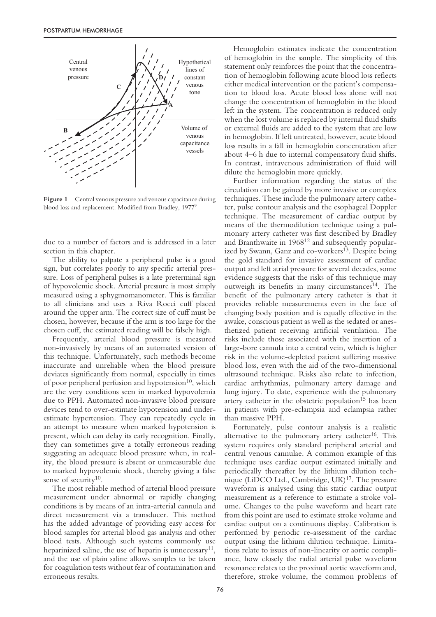

Figure 1 Central venous pressure and venous capacitance during blood loss and replacement. Modified from Bradley, 19779

due to a number of factors and is addressed in a later section in this chapter.

The ability to palpate a peripheral pulse is a good sign, but correlates poorly to any specific arterial pressure. Loss of peripheral pulses is a late preterminal sign of hypovolemic shock. Arterial pressure is most simply measured using a sphygmomanometer. This is familiar to all clinicians and uses a Riva Rocci cuff placed around the upper arm. The correct size of cuff must be chosen, however, because if the arm is too large for the chosen cuff, the estimated reading will be falsely high.

Frequently, arterial blood pressure is measured non-invasively by means of an automated version of this technique. Unfortunately, such methods become inaccurate and unreliable when the blood pressure deviates significantly from normal, especially in times of poor peripheral perfusion and hypotension<sup>10</sup>, which are the very conditions seen in marked hypovolemia due to PPH. Automated non-invasive blood pressure devices tend to over-estimate hypotension and underestimate hypertension. They can repeatedly cycle in an attempt to measure when marked hypotension is present, which can delay its early recognition. Finally, they can sometimes give a totally erroneous reading suggesting an adequate blood pressure when, in reality, the blood pressure is absent or unmeasurable due to marked hypovolemic shock, thereby giving a false sense of security<sup>10</sup>.

The most reliable method of arterial blood pressure measurement under abnormal or rapidly changing conditions is by means of an intra-arterial cannula and direct measurement via a transducer. This method has the added advantage of providing easy access for blood samples for arterial blood gas analysis and other blood tests. Although such systems commonly use heparinized saline, the use of heparin is unnecessary<sup>11</sup>, and the use of plain saline allows samples to be taken for coagulation tests without fear of contamination and erroneous results.

Hemoglobin estimates indicate the concentration of hemoglobin in the sample. The simplicity of this statement only reinforces the point that the concentration of hemoglobin following acute blood loss reflects either medical intervention or the patient's compensation to blood loss. Acute blood loss alone will not change the concentration of hemoglobin in the blood left in the system. The concentration is reduced only when the lost volume is replaced by internal fluid shifts or external fluids are added to the system that are low in hemoglobin. If left untreated, however, acute blood loss results in a fall in hemoglobin concentration after about 4–6 h due to internal compensatory fluid shifts. In contrast, intravenous administration of fluid will dilute the hemoglobin more quickly.

Further information regarding the status of the circulation can be gained by more invasive or complex techniques. These include the pulmonary artery catheter, pulse contour analysis and the esophageal Doppler technique. The measurement of cardiac output by means of the thermodilution technique using a pulmonary artery catheter was first described by Bradley and Branthwaite in 196812 and subsequently popularized by Swann, Ganz and co-workers<sup>13</sup>. Despite being the gold standard for invasive assessment of cardiac output and left atrial pressure for several decades, some evidence suggests that the risks of this technique may outweigh its benefits in many circumstances<sup>14</sup>. The benefit of the pulmonary artery catheter is that it provides reliable measurements even in the face of changing body position and is equally effective in the awake, conscious patient as well as the sedated or anesthetized patient receiving artificial ventilation. The risks include those associated with the insertion of a large-bore cannula into a central vein, which is higher risk in the volume-depleted patient suffering massive blood loss, even with the aid of the two-dimensional ultrasound technique. Risks also relate to infection, cardiac arrhythmias, pulmonary artery damage and lung injury. To date, experience with the pulmonary artery catheter in the obstetric population<sup>15</sup> has been in patients with pre-eclampsia and eclampsia rather than massive PPH.

Fortunately, pulse contour analysis is a realistic alternative to the pulmonary artery catheter<sup>16</sup>. This system requires only standard peripheral arterial and central venous cannulae. A common example of this technique uses cardiac output estimated initially and periodically thereafter by the lithium dilution technique (LiDCO Ltd., Cambridge, UK)<sup>17</sup>. The pressure waveform is analysed using this static cardiac output measurement as a reference to estimate a stroke volume. Changes to the pulse waveform and heart rate from this point are used to estimate stroke volume and cardiac output on a continuous display. Calibration is performed by periodic re-assessment of the cardiac output using the lithium dilution technique. Limitations relate to issues of non-linearity or aortic compliance, how closely the radial arterial pulse waveform resonance relates to the proximal aortic waveform and, therefore, stroke volume, the common problems of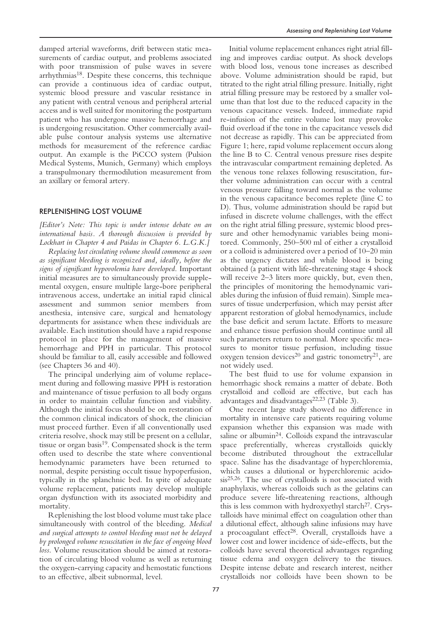damped arterial waveforms, drift between static measurements of cardiac output, and problems associated with poor transmission of pulse waves in severe arrhythmias<sup>18</sup>. Despite these concerns, this technique can provide a continuous idea of cardiac output, systemic blood pressure and vascular resistance in any patient with central venous and peripheral arterial access and is well suited for monitoring the postpartum patient who has undergone massive hemorrhage and is undergoing resuscitation. Other commercially available pulse contour analysis systems use alternative methods for measurement of the reference cardiac output. An example is the PiCCO system (Pulsion Medical Systems, Munich, Germany) which employs a transpulmonary thermodilution measurement from an axillary or femoral artery.

#### REPLENISHING LOST VOLUME

*[Editor's Note: This topic is under intense debate on an international basis. A thorough discussion is provided by Lockhart in Chapter 4 and Paidas in Chapter 6. L.G.K.]*

*Replacing lost circulating volume should commence as soon as significant bleeding is recognized and, ideally, before the signs of significant hypovolemia have developed*. Important initial measures are to simultaneously provide supplemental oxygen, ensure multiple large-bore peripheral intravenous access, undertake an initial rapid clinical assessment and summon senior members from anesthesia, intensive care, surgical and hematology departments for assistance when these individuals are available. Each institution should have a rapid response protocol in place for the management of massive hemorrhage and PPH in particular. This protocol should be familiar to all, easily accessible and followed (see Chapters 36 and 40).

The principal underlying aim of volume replacement during and following massive PPH is restoration and maintenance of tissue perfusion to all body organs in order to maintain cellular function and viability. Although the initial focus should be on restoration of the common clinical indicators of shock, the clinician must proceed further. Even if all conventionally used criteria resolve, shock may still be present on a cellular, tissue or organ basis19. Compensated shock is the term often used to describe the state where conventional hemodynamic parameters have been returned to normal, despite persisting occult tissue hypoperfusion, typically in the splanchnic bed. In spite of adequate volume replacement, patients may develop multiple organ dysfunction with its associated morbidity and mortality.

Replenishing the lost blood volume must take place simultaneously with control of the bleeding. *Medical and surgical attempts to control bleeding must not be delayed by prolonged volume resuscitation in the face of ongoing blood loss*. Volume resuscitation should be aimed at restoration of circulating blood volume as well as returning the oxygen-carrying capacity and hemostatic functions to an effective, albeit subnormal, level.

Initial volume replacement enhances right atrial filling and improves cardiac output. As shock develops with blood loss, venous tone increases as described above. Volume administration should be rapid, but titrated to the right atrial filling pressure. Initially, right atrial filling pressure may be restored by a smaller volume than that lost due to the reduced capacity in the venous capacitance vessels. Indeed, immediate rapid re-infusion of the entire volume lost may provoke fluid overload if the tone in the capacitance vessels did not decrease as rapidly. This can be appreciated from Figure 1; here, rapid volume replacement occurs along the line B to C. Central venous pressure rises despite the intravascular compartment remaining depleted. As the venous tone relaxes following resuscitation, further volume administration can occur with a central venous pressure falling toward normal as the volume in the venous capacitance becomes replete (line C to D). Thus, volume administration should be rapid but infused in discrete volume challenges, with the effect on the right atrial filling pressure, systemic blood pressure and other hemodynamic variables being monitored. Commonly, 250–500 ml of either a crystalloid or a colloid is administered over a period of 10–20 min as the urgency dictates and while blood is being obtained (a patient with life-threatening stage 4 shock will receive 2–3 liters more quickly, but, even then, the principles of monitoring the hemodynamic variables during the infusion of fluid remain). Simple measures of tissue underperfusion, which may persist after apparent restoration of global hemodynamics, include the base deficit and serum lactate. Efforts to measure and enhance tissue perfusion should continue until all such parameters return to normal. More specific measures to monitor tissue perfusion, including tissue oxygen tension devices<sup>20</sup> and gastric tonometry<sup>21</sup>, are not widely used.

The best fluid to use for volume expansion in hemorrhagic shock remains a matter of debate. Both crystalloid and colloid are effective, but each has advantages and disadvantages $22,23$  (Table 3).

One recent large study showed no difference in mortality in intensive care patients requiring volume expansion whether this expansion was made with saline or albumin<sup>24</sup>. Colloids expand the intravascular space preferentially, whereas crystalloids quickly become distributed throughout the extracellular space. Saline has the disadvantage of hyperchloremia, which causes a dilutional or hyperchloremic acidosis25,26. The use of crystalloids is not associated with anaphylaxis, whereas colloids such as the gelatins can produce severe life-threatening reactions, although this is less common with hydroxyethyl starch<sup>27</sup>. Crystalloids have minimal effect on coagulation other than a dilutional effect, although saline infusions may have a procoagulant effect<sup>28</sup>. Overall, crystalloids have a lower cost and lower incidence of side-effects, but the colloids have several theoretical advantages regarding tissue edema and oxygen delivery to the tissues. Despite intense debate and research interest, neither crystalloids nor colloids have been shown to be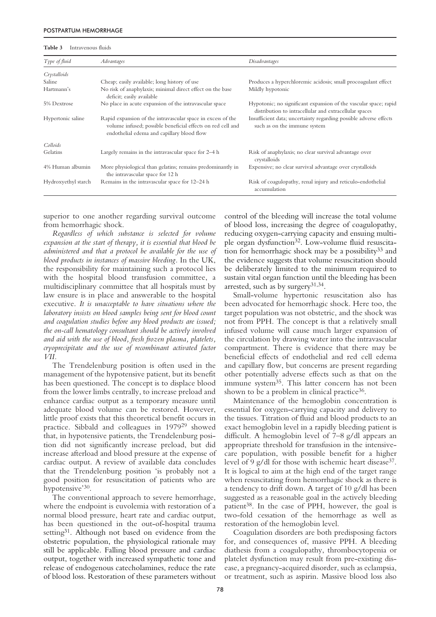#### POSTPARTUM HEMORRHAGE

**Table 3** Intravenous fluids

| Type of fluid       | Advantages                                                                                                                                                               | Disadvantages                                                                                                              |
|---------------------|--------------------------------------------------------------------------------------------------------------------------------------------------------------------------|----------------------------------------------------------------------------------------------------------------------------|
| Crystalloids        |                                                                                                                                                                          |                                                                                                                            |
| Saline              | Cheap; easily available; long history of use                                                                                                                             | Produces a hyperchloremic acidosis; small procoagulant effect                                                              |
| Hartmann's          | No risk of anaphylaxis; minimal direct effect on the base<br>deficit; easily available                                                                                   | Mildly hypotonic                                                                                                           |
| 5% Dextrose         | No place in acute expansion of the intravascular space                                                                                                                   | Hypotonic; no significant expansion of the vascular space; rapid<br>distribution to intracellular and extracellular spaces |
| Hypertonic saline   | Rapid expansion of the intravascular space in excess of the<br>volume infused; possible beneficial effects on red cell and<br>endothelial edema and capillary blood flow | Insufficient data; uncertainty regarding possible adverse effects<br>such as on the immune system                          |
| Colloids            |                                                                                                                                                                          |                                                                                                                            |
| Gelatins            | Largely remains in the intravascular space for 2–4 h                                                                                                                     | Risk of anaphylaxis; no clear survival advantage over<br>crystalloids                                                      |
| 4% Human albumin    | More physiological than gelatins; remains predominantly in<br>the intravascular space for 12 h                                                                           | Expensive; no clear survival advantage over crystalloids                                                                   |
| Hydroxyethyl starch | Remains in the intravascular space for 12-24 h                                                                                                                           | Risk of coagulopathy, renal injury and reticulo-endothelial<br>accumulation                                                |

superior to one another regarding survival outcome from hemorrhagic shock.

*Regardless of which substance is selected for volume expansion at the start of therapy, it is essential that blood be administered and that a protocol be available for the use of blood products in instances of massive bleeding.* In the UK, the responsibility for maintaining such a protocol lies with the hospital blood transfusion committee, a multidisciplinary committee that all hospitals must by law ensure is in place and answerable to the hospital executive. *It is unacceptable to have situations where the laboratory insists on blood samples being sent for blood count and coagulation studies before any blood products are issued; the on-call hematology consultant should be actively involved and aid with the use of blood, fresh frozen plasma, platelets, cryoprecipitate and the use of recombinant activated factor VII.*

The Trendelenburg position is often used in the management of the hypotensive patient, but its benefit has been questioned. The concept is to displace blood from the lower limbs centrally, to increase preload and enhance cardiac output as a temporary measure until adequate blood volume can be restored. However, little proof exists that this theoretical benefit occurs in practice. Sibbald and colleagues in 197929 showed that, in hypotensive patients, the Trendelenburg position did not significantly increase preload, but did increase afterload and blood pressure at the expense of cardiac output. A review of available data concludes that the Trendelenburg position 'is probably not a good position for resuscitation of patients who are hypotensive'30.

The conventional approach to severe hemorrhage, where the endpoint is euvolemia with restoration of a normal blood pressure, heart rate and cardiac output, has been questioned in the out-of-hospital trauma setting<sup>31</sup>. Although not based on evidence from the obstetric population, the physiological rationale may still be applicable. Falling blood pressure and cardiac output, together with increased sympathetic tone and release of endogenous catecholamines, reduce the rate of blood loss. Restoration of these parameters without

control of the bleeding will increase the total volume of blood loss, increasing the degree of coagulopathy, reducing oxygen-carrying capacity and ensuing multiple organ dysfunction<sup>32</sup>. Low-volume fluid resuscitation for hemorrhagic shock may be a possibility<sup>33</sup> and the evidence suggests that volume resuscitation should be deliberately limited to the minimum required to sustain vital organ function until the bleeding has been arrested, such as by surgery $31,34$ .

Small-volume hypertonic resuscitation also has been advocated for hemorrhagic shock. Here too, the target population was not obstetric, and the shock was not from PPH. The concept is that a relatively small infused volume will cause much larger expansion of the circulation by drawing water into the intravascular compartment. There is evidence that there may be beneficial effects of endothelial and red cell edema and capillary flow, but concerns are present regarding other potentially adverse effects such as that on the immune system<sup>35</sup>. This latter concern has not been shown to be a problem in clinical practice<sup>36</sup>.

Maintenance of the hemoglobin concentration is essential for oxygen-carrying capacity and delivery to the tissues. Titration of fluid and blood products to an exact hemoglobin level in a rapidly bleeding patient is difficult. A hemoglobin level of 7–8 g/dl appears an appropriate threshold for transfusion in the intensivecare population, with possible benefit for a higher level of 9 g/dl for those with ischemic heart disease<sup>37</sup>. It is logical to aim at the high end of the target range when resuscitating from hemorrhagic shock as there is a tendency to drift down. A target of 10 g/dl has been suggested as a reasonable goal in the actively bleeding patient<sup>38</sup>. In the case of PPH, however, the goal is two-fold cessation of the hemorrhage as well as restoration of the hemoglobin level.

Coagulation disorders are both predisposing factors for, and consequences of, massive PPH. A bleeding diathesis from a coagulopathy, thrombocytopenia or platelet dysfunction may result from pre-existing disease, a pregnancy-acquired disorder, such as eclampsia, or treatment, such as aspirin. Massive blood loss also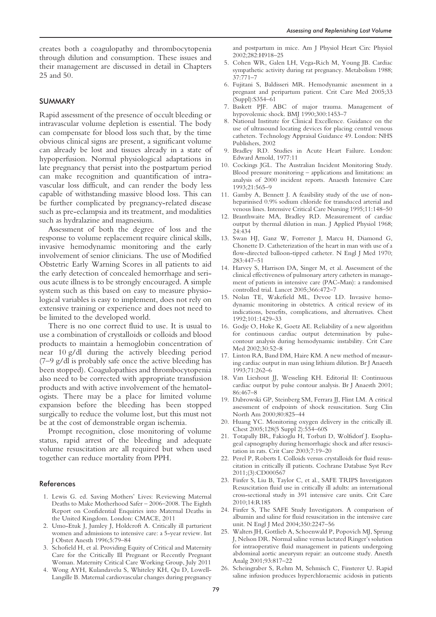creates both a coagulopathy and thrombocytopenia through dilution and consumption. These issues and their management are discussed in detail in Chapters 25 and 50.

#### **SUMMARY**

Rapid assessment of the presence of occult bleeding or intravascular volume depletion is essential. The body can compensate for blood loss such that, by the time obvious clinical signs are present, a significant volume can already be lost and tissues already in a state of hypoperfusion. Normal physiological adaptations in late pregnancy that persist into the postpartum period can make recognition and quantification of intravascular loss difficult, and can render the body less capable of withstanding massive blood loss. This can be further complicated by pregnancy-related disease such as pre-eclampsia and its treatment, and modalities such as hydralazine and magnesium.

Assessment of both the degree of loss and the response to volume replacement require clinical skills, invasive hemodynamic monitoring and the early involvement of senior clinicians. The use of Modified Obstetric Early Warning Scores in all patients to aid the early detection of concealed hemorrhage and serious acute illness is to be strongly encouraged. A simple system such as this based on easy to measure physiological variables is easy to implement, does not rely on extensive training or experience and does not need to be limited to the developed world.

There is no one correct fluid to use. It is usual to use a combination of crystalloids or colloids and blood products to maintain a hemoglobin concentration of near 10 g/dl during the actively bleeding period (7–9 g/dl is probably safe once the active bleeding has been stopped). Coagulopathies and thrombocytopenia also need to be corrected with appropriate transfusion products and with active involvement of the hematologists. There may be a place for limited volume expansion before the bleeding has been stopped surgically to reduce the volume lost, but this must not be at the cost of demonstrable organ ischemia.

Prompt recognition, close monitoring of volume status, rapid arrest of the bleeding and adequate volume resuscitation are all required but when used together can reduce mortality from PPH.

#### References

- 1. Lewis G. ed. Saving Mothers' Lives: Reviewing Maternal Deaths to Make Motherhood Safer – 2006–2008. The Eighth Report on Confidential Enquiries into Maternal Deaths in the United Kingdom. London: CMACE, 2011
- 2. Umo-Etuk J, Jumley J, Holdcroft A. Critically ill parturient women and admissions to intensive care: a 5-year review. Int J Obstet Anesth 1996;5:79–84
- 3. Schofield H, et al. Providing Equity of Critical and Maternity Care for the Critically Ill Pregnant or Recently Pregnant Woman. Maternity Critical Care Working Group, July 2011
- 4. Wong AYH, Kulandavelu S, Whiteley KH, Qu D, Lowell-Langille B. Maternal cardiovascular changes during pregnancy

and postpartum in mice. Am J Physiol Heart Circ Physiol 2002;282:H918–25

- 5. Cohen WR, Galen LH, Vega-Rich M, Young JB. Cardiac sympathetic activity during rat pregnancy. Metabolism 1988; 37:771–7
- 6. Fujitani S, Baldisseri MR. Hemodynamic assessment in a pregnant and peripartum patient. Crit Care Med 2005;33 (Suppl):S354–61
- 7. Baskett PJF. ABC of major trauma. Management of hypovolemic shock. BMJ 1990;300:1453-7
- 8. National Institute for Clinical Excellence. Guidance on the use of ultrasound locating devices for placing central venous catheters. Technology Appraisal Guidance 49. London: NHS Publishers, 2002
- 9. Bradley RD. Studies in Acute Heart Failure. London: Edward Arnold, 1977:11
- 10. Cockings JGL. The Australian Incident Monitoring Study. Blood pressure monitoring – applications and limitations: an analysis of 2000 incident reports. Anaesth Intensive Care 1993;21:565–9
- 11. Gamby A, Bennett J. A feasibility study of the use of nonheparinised 0.9% sodium chloride for transduced arterial and venous lines. Intensive Critical Care Nursing 1995;11:148–50
- 12. Branthwaite MA, Bradley RD. Measurement of cardiac output by thermal dilution in man. J Applied Physiol 1968; 24:434
- 13. Swan HJ, Ganz W, Forrester J, Marcu H, Diamond G, Chonette D. Catheterization of the heart in man with use of a flow-directed balloon-tipped catheter. N Engl J Med 1970; 283:447–51
- 14. Harvey S, Harrison DA, Singer M, et al. Assessment of the clinical effectiveness of pulmonary artery catheters in management of patients in intensive care (PAC-Man): a randomised controlled trial. Lancet 2005;366:472–7
- 15. Nolan TE, Wakefield ML, Devoe LD. Invasive hemodynamic monitoring in obstetrics. A critical review of its indications, benefits, complications, and alternatives. Chest 1992;101:1429–33
- 16. Godje O, Hoke K, Goetz AE. Reliability of a new algorithm for continuous cardiac output determination by pulsecontour analysis during hemodynamic instability. Crit Care Med 2002;30:52–8
- 17. Linton RA, Band DM, Haire KM. A new method of measuring cardiac output in man using lithium dilution. Br J Anaesth 1993;71:262–6
- 18. Van Lieshout JJ, Wesseling KH. Editorial II: Continuous cardiac output by pulse contour analysis. Br J Anaesth 2001; 86:467–8
- 19. Dabrowski GP, Steinberg SM, Ferrara JJ, Flint LM. A critical assessment of endpoints of shock resuscitation. Surg Clin North Am 2000;80:825–44
- 20. Huang YC. Monitoring oxygen delivery in the critically ill. Chest 2005;128(5 Suppl 2):554–60S
- 21. Totapally BR, Fakioglu H, Torbati D, Wolfsdorf J. Esophageal capnography during hemorrhagic shock and after resuscitation in rats. Crit Care 2003;7:19–20
- 22. Perel P, Roberts I. Colloids versus crystalloids for fluid resuscitation in critically ill patients. Cochrane Database Syst Rev 2011;(3):CD000567
- 23. Finfer S, Liu B, Taylor C, et al., SAFE TRIPS Investigators Resuscitation fluid use in critically ill adults: an international cross-sectional study in 391 intensive care units. Crit Care 2010;14:R185
- 24. Finfer S, The SAFE Study Investigators. A comparison of albumin and saline for fluid resuscitation in the intensive care unit. N Engl J Med 2004;350:2247–56
- 25. Walters JH, Gottlieb A, Schoenwald P, Popovich MJ, Sprung J, Nelson DR. Normal saline versus lactated Ringer's solution for intraoperative fluid management in patients undergoing abdominal aortic aneurysm repair: an outcome study. Anesth Analg 2001;93:817–22
- 26. Scheingraber S, Rehm M, Sehmisch C, Finsterer U. Rapid saline infusion produces hyperchloraemic acidosis in patients